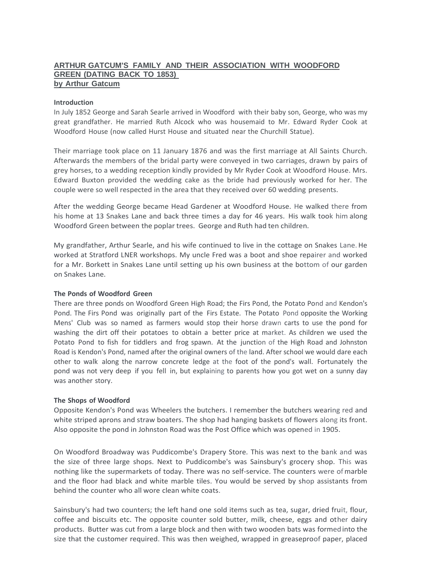# **ARTHUR GATCUM'S FAMILY AND THEIR ASSOCIATION WITH WOODFORD GREEN (DATING BACK TO 1853) by Arthur Gatcum**

## **Introduction**

In July 1852 George and Sarah Searle arrived in Woodford with their baby son, George, who was my great grandfather. He married Ruth Alcock who was housemaid to Mr. Edward Ryder Cook at Woodford House (now called Hurst House and situated near the Churchill Statue).

Their marriage took place on 11 January 1876 and was the first marriage at All Saints Church. Afterwards the members of the bridal party were conveyed in two carriages, drawn by pairs of grey horses, to a wedding reception kindly provided by Mr Ryder Cook at Woodford House. Mrs. Edward Buxton provided the wedding cake as the bride had previously worked for her. The couple were so well respected in the area that they received over 60 wedding presents.

After the wedding George became Head Gardener at Woodford House. He walked there from his home at 13 Snakes Lane and back three times a day for 46 years. His walk took him along Woodford Green between the poplar trees. George and Ruth had ten children.

My grandfather, Arthur Searle, and his wife continued to live in the cottage on Snakes Lane.He worked at Stratford LNER workshops. My uncle Fred was a boot and shoe repairer and worked for a Mr. Borkett in Snakes Lane until setting up his own business at the bottom of our garden on Snakes Lane.

### **The Ponds of Woodford Green**

There are three ponds on Woodford Green High Road; the Firs Pond, the Potato Pond and Kendon's Pond. The Firs Pond was originally part of the Firs Estate. The Potato Pond opposite the Working Mens' Club was so named as farmers would stop their horse drawn carts to use the pond for washing the dirt off their potatoes to obtain a better price at market. As children we used the Potato Pond to fish for tiddlers and frog spawn. At the junction of the High Road and Johnston Road is Kendon's Pond, named after the original owners of the land. After school we would dare each other to walk along the narrow concrete ledge at the foot of the pond's wall. Fortunately the pond was not very deep if you fell in, but explaining to parents how you got wet on a sunny day was another story.

## **The Shops of Woodford**

Opposite Kendon's Pond was Wheelers the butchers. I remember the butchers wearing red and white striped aprons and straw boaters. The shop had hanging baskets of flowers along its front. Also opposite the pond in Johnston Road was the Post Office which was opened in 1905.

On Woodford Broadway was Puddicombe's Drapery Store. This was next to the bank and was the size of three large shops. Next to Puddicombe's was Sainsbury's grocery shop. This was nothing like the supermarkets of today. There was no self-service. The counters were ofmarble and the floor had black and white marble tiles. You would be served by shop assistants from behind the counter who all wore clean white coats.

Sainsbury's had two counters; the left hand one sold items such as tea, sugar, dried fruit, flour, coffee and biscuits etc. The opposite counter sold butter, milk, cheese, eggs and other dairy products. Butter was cut from a large block and then with two wooden bats was formedinto the size that the customer required. This was then weighed, wrapped in greaseproof paper, placed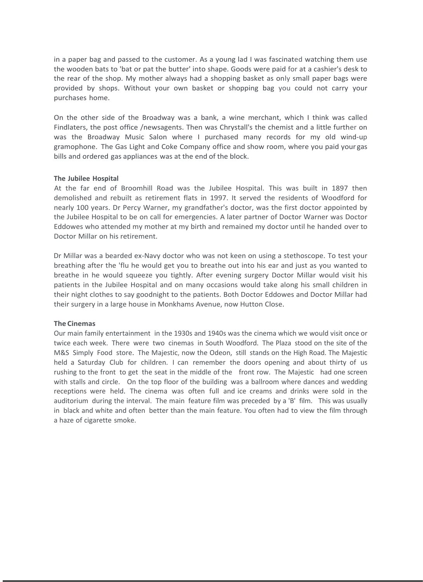in a paper bag and passed to the customer. As a young lad I was fascinated watching them use the wooden bats to 'bat or pat the butter' into shape. Goods were paid for at a cashier's desk to the rear of the shop. My mother always had a shopping basket as only small paper bags were provided by shops. Without your own basket or shopping bag you could not carry your purchases home.

On the other side of the Broadway was a bank, a wine merchant, which I think was called Findlaters, the post office /newsagents. Then was Chrystall's the chemist and a little further on was the Broadway Music Salon where I purchased many records for my old wind-up gramophone. The Gas Light and Coke Company office and show room, where you paid your gas bills and ordered gas appliances was at the end of the block.

### **The Jubilee Hospital**

At the far end of Broomhill Road was the Jubilee Hospital. This was built in 1897 then demolished and rebuilt as retirement flats in 1997. It served the residents of Woodford for nearly 100 years. Dr Percy Warner, my grandfather's doctor, was the first doctor appointed by the Jubilee Hospital to be on call for emergencies. A later partner of Doctor Warner was Doctor Eddowes who attended my mother at my birth and remained my doctor until he handed over to Doctor Millar on his retirement.

Dr Millar was a bearded ex-Navy doctor who was not keen on using a stethoscope. To test your breathing after the 'flu he would get you to breathe out into his ear and just as you wanted to breathe in he would squeeze you tightly. After evening surgery Doctor Millar would visit his patients in the Jubilee Hospital and on many occasions would take along his small children in their night clothes to say goodnight to the patients. Both Doctor Eddowes and Doctor Millar had their surgery in a large house in Monkhams Avenue, now Hutton Close.

#### **The Cinemas**

Our main family entertainment in the 1930s and 1940s was the cinema which we would visit once or twice each week. There were two cinemas in South Woodford. The Plaza stood on the site of the M&S Simply Food store. The Majestic, now the Odeon, still stands on the High Road. The Majestic held a Saturday Club for children. I can remember the doors opening and about thirty of us rushing to the front to get the seat in the middle of the front row. The Majestic had one screen with stalls and circle. On the top floor of the building was a ballroom where dances and wedding receptions were held. The cinema was often full and ice creams and drinks were sold in the auditorium during the interval. The main feature film was preceded by a 'B' film. This was usually in black and white and often better than the main feature. You often had to view the film through a haze of cigarette smoke.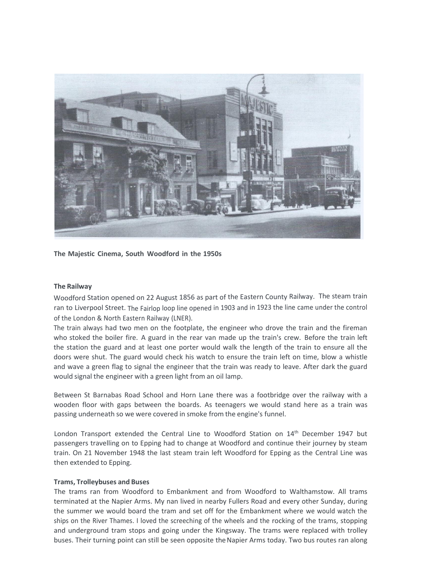

**The Majestic Cinema, South Woodford in the 1950s**

### **The Railway**

Woodford Station opened on 22 August 1856 as part of the Eastern County Railway. The steam train ran to Liverpool Street. The Fairlop loop line opened in 1903 and in 1923 the line came under the control of the London & North Eastern Railway (LNER).

The train always had two men on the footplate, the engineer who drove the train and the fireman who stoked the boiler fire. A guard in the rear van made up the train's crew. Before the train left the station the guard and at least one porter would walk the length of the train to ensure all the doors were shut. The guard would check his watch to ensure the train left on time, blow a whistle and wave a green flag to signal the engineer that the train was ready to leave. After dark the guard would signal the engineer with a green light from an oil lamp.

Between St Barnabas Road School and Horn Lane there was a footbridge over the railway with a wooden floor with gaps between the boards. As teenagers we would stand here as a train was passing underneath so we were covered in smoke from the engine's funnel.

London Transport extended the Central Line to Woodford Station on 14<sup>th</sup> December 1947 but passengers travelling on to Epping had to change at Woodford and continue their journey by steam train. On 21 November 1948 the last steam train left Woodford for Epping as the Central Line was then extended to Epping.

### **Trams, Trolleybuses and Buses**

The trams ran from Woodford to Embankment and from Woodford to Walthamstow. All trams terminated at the Napier Arms. My nan lived in nearby Fullers Road and every other Sunday, during the summer we would board the tram and set off for the Embankment where we would watch the ships on the River Thames. I loved the screeching of the wheels and the rocking of the trams, stopping and underground tram stops and going under the Kingsway. The trams were replaced with trolley buses. Their turning point can still be seen opposite theNapier Arms today. Two bus routes ran along